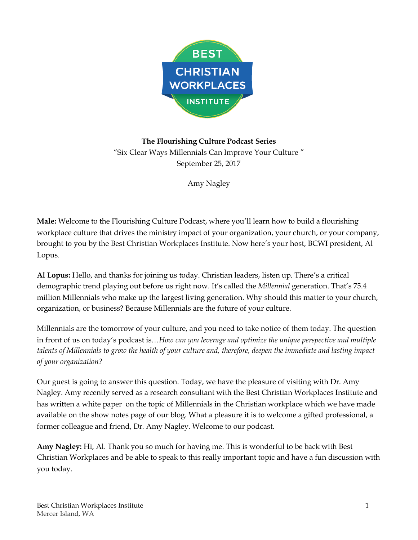

**The Flourishing Culture Podcast Series** "Six Clear Ways Millennials Can Improve Your Culture " September 25, 2017

Amy Nagley

**Male:** Welcome to the Flourishing Culture Podcast, where you'll learn how to build a flourishing workplace culture that drives the ministry impact of your organization, your church, or your company, brought to you by the Best Christian Workplaces Institute. Now here's your host, BCWI president, Al Lopus.

**Al Lopus:** Hello, and thanks for joining us today. Christian leaders, listen up. There's a critical demographic trend playing out before us right now. It's called the *Millennial* generation. That's 75.4 million Millennials who make up the largest living generation. Why should this matter to your church, organization, or business? Because Millennials are the future of your culture.

Millennials are the tomorrow of your culture, and you need to take notice of them today. The question in front of us on today's podcast is…*How can you leverage and optimize the unique perspective and multiple talents of Millennials to grow the health of your culture and, therefore, deepen the immediate and lasting impact of your organization?*

Our guest is going to answer this question. Today, we have the pleasure of visiting with Dr. Amy Nagley. Amy recently served as a research consultant with the Best Christian Workplaces Institute and has written a white paper on the topic of Millennials in the Christian workplace which we have made available on the show notes page of our blog. What a pleasure it is to welcome a gifted professional, a former colleague and friend, Dr. Amy Nagley. Welcome to our podcast.

**Amy Nagley:** Hi, Al. Thank you so much for having me. This is wonderful to be back with Best Christian Workplaces and be able to speak to this really important topic and have a fun discussion with you today.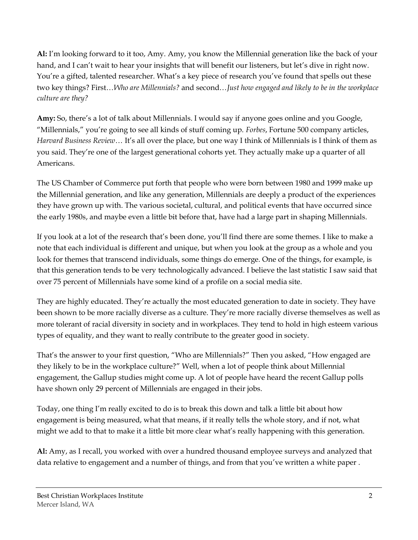**Al:** I'm looking forward to it too, Amy. Amy, you know the Millennial generation like the back of your hand, and I can't wait to hear your insights that will benefit our listeners, but let's dive in right now. You're a gifted, talented researcher. What's a key piece of research you've found that spells out these two key things? First…*Who are Millennials?* and second…*Just how engaged and likely to be in the workplace culture are they?*

**Amy:** So, there's a lot of talk about Millennials. I would say if anyone goes online and you Google, "Millennials," you're going to see all kinds of stuff coming up. *Forbes*, Fortune 500 company articles, *Harvard Business Review*… It's all over the place, but one way I think of Millennials is I think of them as you said. They're one of the largest generational cohorts yet. They actually make up a quarter of all Americans.

The US Chamber of Commerce put forth that people who were born between 1980 and 1999 make up the Millennial generation, and like any generation, Millennials are deeply a product of the experiences they have grown up with. The various societal, cultural, and political events that have occurred since the early 1980s, and maybe even a little bit before that, have had a large part in shaping Millennials.

If you look at a lot of the research that's been done, you'll find there are some themes. I like to make a note that each individual is different and unique, but when you look at the group as a whole and you look for themes that transcend individuals, some things do emerge. One of the things, for example, is that this generation tends to be very technologically advanced. I believe the last statistic I saw said that over 75 percent of Millennials have some kind of a profile on a social media site.

They are highly educated. They're actually the most educated generation to date in society. They have been shown to be more racially diverse as a culture. They're more racially diverse themselves as well as more tolerant of racial diversity in society and in workplaces. They tend to hold in high esteem various types of equality, and they want to really contribute to the greater good in society.

That's the answer to your first question, "Who are Millennials?" Then you asked, "How engaged are they likely to be in the workplace culture?" Well, when a lot of people think about Millennial engagement, the Gallup studies might come up. A lot of people have heard the recent Gallup polls have shown only 29 percent of Millennials are engaged in their jobs.

Today, one thing I'm really excited to do is to break this down and talk a little bit about how engagement is being measured, what that means, if it really tells the whole story, and if not, what might we add to that to make it a little bit more clear what's really happening with this generation.

**Al:** Amy, as I recall, you worked with over a hundred thousand employee surveys and analyzed that data relative to engagement and a number of things, and from that you've written a white paper .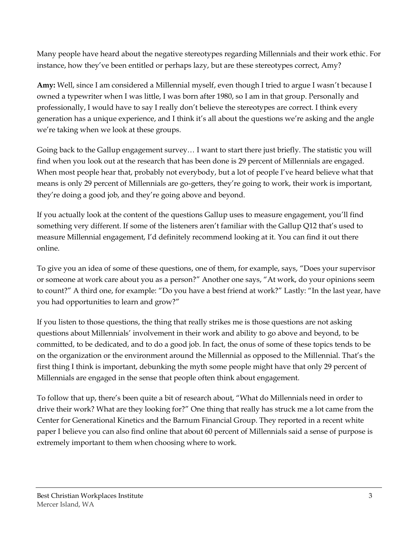Many people have heard about the negative stereotypes regarding Millennials and their work ethic. For instance, how they've been entitled or perhaps lazy, but are these stereotypes correct, Amy?

**Amy:** Well, since I am considered a Millennial myself, even though I tried to argue I wasn't because I owned a typewriter when I was little, I was born after 1980, so I am in that group. Personally and professionally, I would have to say I really don't believe the stereotypes are correct. I think every generation has a unique experience, and I think it's all about the questions we're asking and the angle we're taking when we look at these groups.

Going back to the Gallup engagement survey… I want to start there just briefly. The statistic you will find when you look out at the research that has been done is 29 percent of Millennials are engaged. When most people hear that, probably not everybody, but a lot of people I've heard believe what that means is only 29 percent of Millennials are go-getters, they're going to work, their work is important, they're doing a good job, and they're going above and beyond.

If you actually look at the content of the questions Gallup uses to measure engagement, you'll find something very different. If some of the listeners aren't familiar with the Gallup Q12 that's used to measure Millennial engagement, I'd definitely recommend looking at it. You can find it out there online.

To give you an idea of some of these questions, one of them, for example, says, "Does your supervisor or someone at work care about you as a person?" Another one says, "At work, do your opinions seem to count?" A third one, for example: "Do you have a best friend at work?" Lastly: "In the last year, have you had opportunities to learn and grow?"

If you listen to those questions, the thing that really strikes me is those questions are not asking questions about Millennials' involvement in their work and ability to go above and beyond, to be committed, to be dedicated, and to do a good job. In fact, the onus of some of these topics tends to be on the organization or the environment around the Millennial as opposed to the Millennial. That's the first thing I think is important, debunking the myth some people might have that only 29 percent of Millennials are engaged in the sense that people often think about engagement.

To follow that up, there's been quite a bit of research about, "What do Millennials need in order to drive their work? What are they looking for?" One thing that really has struck me a lot came from the Center for Generational Kinetics and the Barnum Financial Group. They reported in a recent white paper I believe you can also find online that about 60 percent of Millennials said a sense of purpose is extremely important to them when choosing where to work.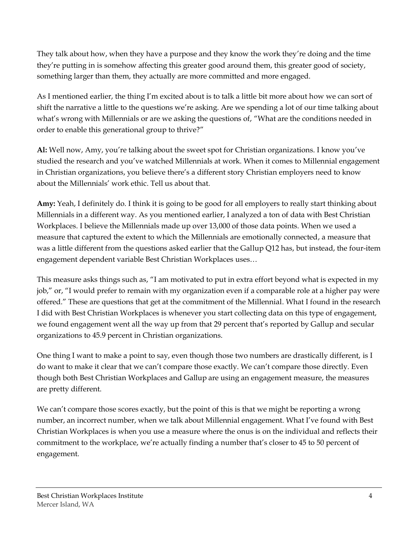They talk about how, when they have a purpose and they know the work they're doing and the time they're putting in is somehow affecting this greater good around them, this greater good of society, something larger than them, they actually are more committed and more engaged.

As I mentioned earlier, the thing I'm excited about is to talk a little bit more about how we can sort of shift the narrative a little to the questions we're asking. Are we spending a lot of our time talking about what's wrong with Millennials or are we asking the questions of, "What are the conditions needed in order to enable this generational group to thrive?"

**Al:** Well now, Amy, you're talking about the sweet spot for Christian organizations. I know you've studied the research and you've watched Millennials at work. When it comes to Millennial engagement in Christian organizations, you believe there's a different story Christian employers need to know about the Millennials' work ethic. Tell us about that.

**Amy:** Yeah, I definitely do. I think it is going to be good for all employers to really start thinking about Millennials in a different way. As you mentioned earlier, I analyzed a ton of data with Best Christian Workplaces. I believe the Millennials made up over 13,000 of those data points. When we used a measure that captured the extent to which the Millennials are emotionally connected, a measure that was a little different from the questions asked earlier that the Gallup Q12 has, but instead, the four-item engagement dependent variable Best Christian Workplaces uses…

This measure asks things such as, "I am motivated to put in extra effort beyond what is expected in my job," or, "I would prefer to remain with my organization even if a comparable role at a higher pay were offered." These are questions that get at the commitment of the Millennial. What I found in the research I did with Best Christian Workplaces is whenever you start collecting data on this type of engagement, we found engagement went all the way up from that 29 percent that's reported by Gallup and secular organizations to 45.9 percent in Christian organizations.

One thing I want to make a point to say, even though those two numbers are drastically different, is I do want to make it clear that we can't compare those exactly. We can't compare those directly. Even though both Best Christian Workplaces and Gallup are using an engagement measure, the measures are pretty different.

We can't compare those scores exactly, but the point of this is that we might be reporting a wrong number, an incorrect number, when we talk about Millennial engagement. What I've found with Best Christian Workplaces is when you use a measure where the onus is on the individual and reflects their commitment to the workplace, we're actually finding a number that's closer to 45 to 50 percent of engagement.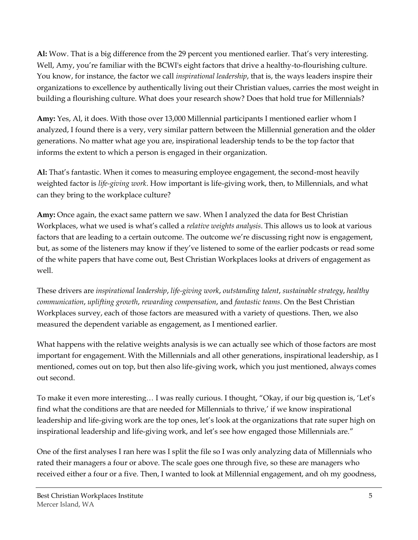**Al:** Wow. That is a big difference from the 29 percent you mentioned earlier. That's very interesting. Well, Amy, you're familiar with the BCWI's eight factors that drive a healthy-to-flourishing culture. You know, for instance, the factor we call *inspirational leadership*, that is, the ways leaders inspire their organizations to excellence by authentically living out their Christian values, carries the most weight in building a flourishing culture. What does your research show? Does that hold true for Millennials?

**Amy:** Yes, Al, it does. With those over 13,000 Millennial participants I mentioned earlier whom I analyzed, I found there is a very, very similar pattern between the Millennial generation and the older generations. No matter what age you are, inspirational leadership tends to be the top factor that informs the extent to which a person is engaged in their organization.

**Al:** That's fantastic. When it comes to measuring employee engagement, the second-most heavily weighted factor is *life-giving work*. How important is life-giving work, then, to Millennials, and what can they bring to the workplace culture?

**Amy:** Once again, the exact same pattern we saw. When I analyzed the data for Best Christian Workplaces, what we used is what's called a *relative weights analysis*. This allows us to look at various factors that are leading to a certain outcome. The outcome we're discussing right now is engagement, but, as some of the listeners may know if they've listened to some of the earlier podcasts or read some of the white papers that have come out, Best Christian Workplaces looks at drivers of engagement as well.

These drivers are *inspirational leadership*, *life-giving work*, *outstanding talent*, *sustainable strategy*, *healthy communication*, *uplifting growth*, *rewarding compensation*, and *fantastic teams*. On the Best Christian Workplaces survey, each of those factors are measured with a variety of questions. Then, we also measured the dependent variable as engagement, as I mentioned earlier.

What happens with the relative weights analysis is we can actually see which of those factors are most important for engagement. With the Millennials and all other generations, inspirational leadership, as I mentioned, comes out on top, but then also life-giving work, which you just mentioned, always comes out second.

To make it even more interesting… I was really curious. I thought, "Okay, if our big question is, 'Let's find what the conditions are that are needed for Millennials to thrive,' if we know inspirational leadership and life-giving work are the top ones, let's look at the organizations that rate super high on inspirational leadership and life-giving work, and let's see how engaged those Millennials are."

One of the first analyses I ran here was I split the file so I was only analyzing data of Millennials who rated their managers a four or above. The scale goes one through five, so these are managers who received either a four or a five. Then, I wanted to look at Millennial engagement, and oh my goodness,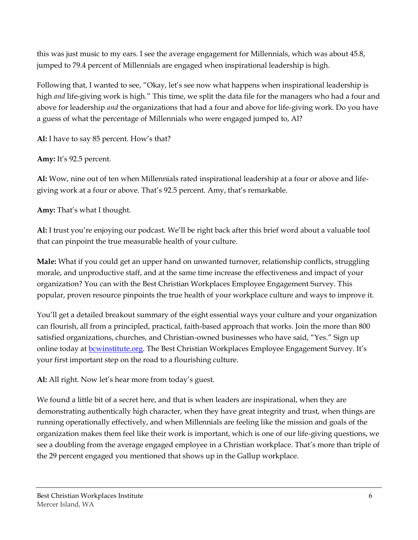this was just music to my ears. I see the average engagement for Millennials, which was about 45.8, jumped to 79.4 percent of Millennials are engaged when inspirational leadership is high.

Following that, I wanted to see, "Okay, let's see now what happens when inspirational leadership is high *and* life-giving work is high." This time, we split the data file for the managers who had a four and above for leadership *and* the organizations that had a four and above for life-giving work. Do you have a guess of what the percentage of Millennials who were engaged jumped to, Al?

**Al:** I have to say 85 percent. How's that?

**Amy:** It's 92.5 percent.

**Al:** Wow, nine out of ten when Millennials rated inspirational leadership at a four or above and lifegiving work at a four or above. That's 92.5 percent. Amy, that's remarkable.

**Amy:** That's what I thought.

**Al:** I trust you're enjoying our podcast. We'll be right back after this brief word about a valuable tool that can pinpoint the true measurable health of your culture.

**Male:** What if you could get an upper hand on unwanted turnover, relationship conflicts, struggling morale, and unproductive staff, and at the same time increase the effectiveness and impact of your organization? You can with the Best Christian Workplaces Employee Engagement Survey. This popular, proven resource pinpoints the true health of your workplace culture and ways to improve it.

You'll get a detailed breakout summary of the eight essential ways your culture and your organization can flourish, all from a principled, practical, faith-based approach that works. Join the more than 800 satisfied organizations, churches, and Christian-owned businesses who have said, "Yes." Sign up online today at **bcwinstitute.org.** The Best Christian Workplaces Employee Engagement Survey. It's your first important step on the road to a flourishing culture.

**Al:** All right. Now let's hear more from today's guest.

We found a little bit of a secret here, and that is when leaders are inspirational, when they are demonstrating authentically high character, when they have great integrity and trust, when things are running operationally effectively, and when Millennials are feeling like the mission and goals of the organization makes them feel like their work is important, which is one of our life-giving questions, we see a doubling from the average engaged employee in a Christian workplace. That's more than triple of the 29 percent engaged you mentioned that shows up in the Gallup workplace.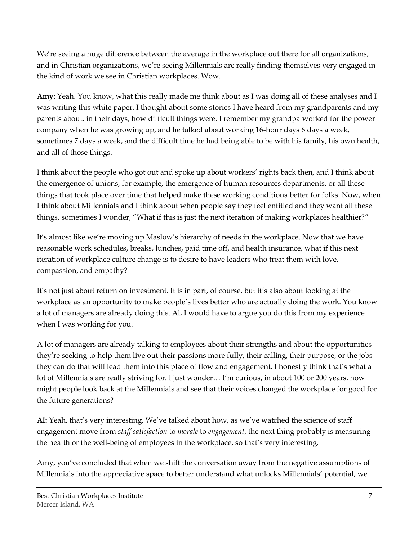We're seeing a huge difference between the average in the workplace out there for all organizations, and in Christian organizations, we're seeing Millennials are really finding themselves very engaged in the kind of work we see in Christian workplaces. Wow.

**Amy:** Yeah. You know, what this really made me think about as I was doing all of these analyses and I was writing this white paper, I thought about some stories I have heard from my grandparents and my parents about, in their days, how difficult things were. I remember my grandpa worked for the power company when he was growing up, and he talked about working 16-hour days 6 days a week, sometimes 7 days a week, and the difficult time he had being able to be with his family, his own health, and all of those things.

I think about the people who got out and spoke up about workers' rights back then, and I think about the emergence of unions, for example, the emergence of human resources departments, or all these things that took place over time that helped make these working conditions better for folks. Now, when I think about Millennials and I think about when people say they feel entitled and they want all these things, sometimes I wonder, "What if this is just the next iteration of making workplaces healthier?"

It's almost like we're moving up Maslow's hierarchy of needs in the workplace. Now that we have reasonable work schedules, breaks, lunches, paid time off, and health insurance, what if this next iteration of workplace culture change is to desire to have leaders who treat them with love, compassion, and empathy?

It's not just about return on investment. It is in part, of course, but it's also about looking at the workplace as an opportunity to make people's lives better who are actually doing the work. You know a lot of managers are already doing this. Al, I would have to argue you do this from my experience when I was working for you.

A lot of managers are already talking to employees about their strengths and about the opportunities they're seeking to help them live out their passions more fully, their calling, their purpose, or the jobs they can do that will lead them into this place of flow and engagement. I honestly think that's what a lot of Millennials are really striving for. I just wonder… I'm curious, in about 100 or 200 years, how might people look back at the Millennials and see that their voices changed the workplace for good for the future generations?

**Al:** Yeah, that's very interesting. We've talked about how, as we've watched the science of staff engagement move from *staff satisfaction* to *morale* to *engagement*, the next thing probably is measuring the health or the well-being of employees in the workplace, so that's very interesting.

Amy, you've concluded that when we shift the conversation away from the negative assumptions of Millennials into the appreciative space to better understand what unlocks Millennials' potential, we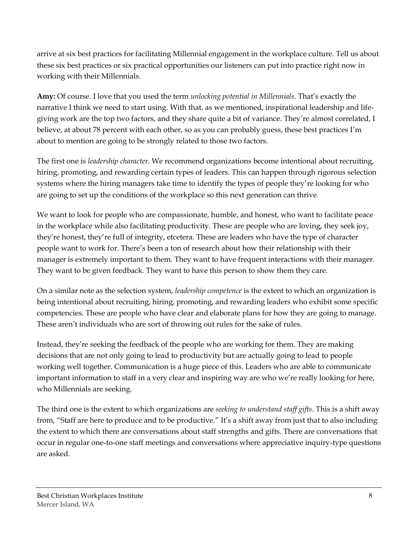arrive at six best practices for facilitating Millennial engagement in the workplace culture. Tell us about these six best practices or six practical opportunities our listeners can put into practice right now in working with their Millennials.

**Amy:** Of course. I love that you used the term *unlocking potential in Millennials*. That's exactly the narrative I think we need to start using. With that, as we mentioned, inspirational leadership and lifegiving work are the top two factors, and they share quite a bit of variance. They're almost correlated, I believe, at about 78 percent with each other, so as you can probably guess, these best practices I'm about to mention are going to be strongly related to those two factors.

The first one is *leadership character*. We recommend organizations become intentional about recruiting, hiring, promoting, and rewarding certain types of leaders. This can happen through rigorous selection systems where the hiring managers take time to identify the types of people they're looking for who are going to set up the conditions of the workplace so this next generation can thrive.

We want to look for people who are compassionate, humble, and honest, who want to facilitate peace in the workplace while also facilitating productivity. These are people who are loving, they seek joy, they're honest, they're full of integrity, etcetera. These are leaders who have the type of character people want to work for. There's been a ton of research about how their relationship with their manager is extremely important to them. They want to have frequent interactions with their manager. They want to be given feedback. They want to have this person to show them they care.

On a similar note as the selection system, *leadership competence* is the extent to which an organization is being intentional about recruiting, hiring, promoting, and rewarding leaders who exhibit some specific competencies. These are people who have clear and elaborate plans for how they are going to manage. These aren't individuals who are sort of throwing out rules for the sake of rules.

Instead, they're seeking the feedback of the people who are working for them. They are making decisions that are not only going to lead to productivity but are actually going to lead to people working well together. Communication is a huge piece of this. Leaders who are able to communicate important information to staff in a very clear and inspiring way are who we're really looking for here, who Millennials are seeking.

The third one is the extent to which organizations are *seeking to understand staff gifts*. This is a shift away from, "Staff are here to produce and to be productive." It's a shift away from just that to also including the extent to which there are conversations about staff strengths and gifts. There are conversations that occur in regular one-to-one staff meetings and conversations where appreciative inquiry-type questions are asked.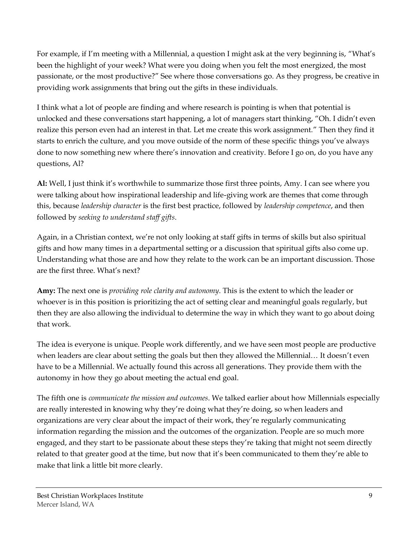For example, if I'm meeting with a Millennial, a question I might ask at the very beginning is, "What's been the highlight of your week? What were you doing when you felt the most energized, the most passionate, or the most productive?" See where those conversations go. As they progress, be creative in providing work assignments that bring out the gifts in these individuals.

I think what a lot of people are finding and where research is pointing is when that potential is unlocked and these conversations start happening, a lot of managers start thinking, "Oh. I didn't even realize this person even had an interest in that. Let me create this work assignment." Then they find it starts to enrich the culture, and you move outside of the norm of these specific things you've always done to now something new where there's innovation and creativity. Before I go on, do you have any questions, Al?

**Al:** Well, I just think it's worthwhile to summarize those first three points, Amy. I can see where you were talking about how inspirational leadership and life-giving work are themes that come through this, because *leadership character* is the first best practice, followed by *leadership competence*, and then followed by *seeking to understand staff gifts*.

Again, in a Christian context, we're not only looking at staff gifts in terms of skills but also spiritual gifts and how many times in a departmental setting or a discussion that spiritual gifts also come up. Understanding what those are and how they relate to the work can be an important discussion. Those are the first three. What's next?

**Amy:** The next one is *providing role clarity and autonomy*. This is the extent to which the leader or whoever is in this position is prioritizing the act of setting clear and meaningful goals regularly, but then they are also allowing the individual to determine the way in which they want to go about doing that work.

The idea is everyone is unique. People work differently, and we have seen most people are productive when leaders are clear about setting the goals but then they allowed the Millennial… It doesn't even have to be a Millennial. We actually found this across all generations. They provide them with the autonomy in how they go about meeting the actual end goal.

The fifth one is *communicate the mission and outcomes*. We talked earlier about how Millennials especially are really interested in knowing why they're doing what they're doing, so when leaders and organizations are very clear about the impact of their work, they're regularly communicating information regarding the mission and the outcomes of the organization. People are so much more engaged, and they start to be passionate about these steps they're taking that might not seem directly related to that greater good at the time, but now that it's been communicated to them they're able to make that link a little bit more clearly.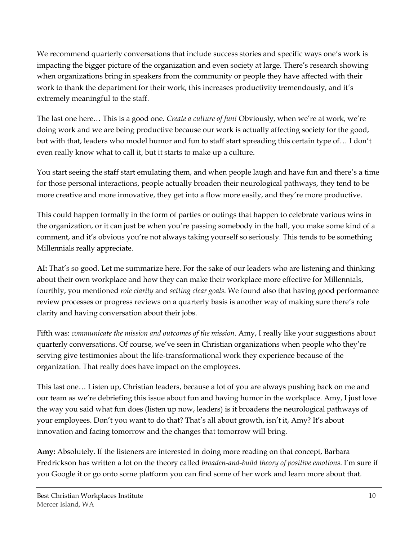We recommend quarterly conversations that include success stories and specific ways one's work is impacting the bigger picture of the organization and even society at large. There's research showing when organizations bring in speakers from the community or people they have affected with their work to thank the department for their work, this increases productivity tremendously, and it's extremely meaningful to the staff.

The last one here… This is a good one. *Create a culture of fun!* Obviously, when we're at work, we're doing work and we are being productive because our work is actually affecting society for the good, but with that, leaders who model humor and fun to staff start spreading this certain type of… I don't even really know what to call it, but it starts to make up a culture.

You start seeing the staff start emulating them, and when people laugh and have fun and there's a time for those personal interactions, people actually broaden their neurological pathways, they tend to be more creative and more innovative, they get into a flow more easily, and they're more productive.

This could happen formally in the form of parties or outings that happen to celebrate various wins in the organization, or it can just be when you're passing somebody in the hall, you make some kind of a comment, and it's obvious you're not always taking yourself so seriously. This tends to be something Millennials really appreciate.

**Al:** That's so good. Let me summarize here. For the sake of our leaders who are listening and thinking about their own workplace and how they can make their workplace more effective for Millennials, fourthly, you mentioned *role clarity* and *setting clear goals*. We found also that having good performance review processes or progress reviews on a quarterly basis is another way of making sure there's role clarity and having conversation about their jobs.

Fifth was: *communicate the mission and outcomes of the mission*. Amy, I really like your suggestions about quarterly conversations. Of course, we've seen in Christian organizations when people who they're serving give testimonies about the life-transformational work they experience because of the organization. That really does have impact on the employees.

This last one… Listen up, Christian leaders, because a lot of you are always pushing back on me and our team as we're debriefing this issue about fun and having humor in the workplace. Amy, I just love the way you said what fun does (listen up now, leaders) is it broadens the neurological pathways of your employees. Don't you want to do that? That's all about growth, isn't it, Amy? It's about innovation and facing tomorrow and the changes that tomorrow will bring.

**Amy:** Absolutely. If the listeners are interested in doing more reading on that concept, Barbara Fredrickson has written a lot on the theory called *broaden-and-build theory of positive emotions*. I'm sure if you Google it or go onto some platform you can find some of her work and learn more about that.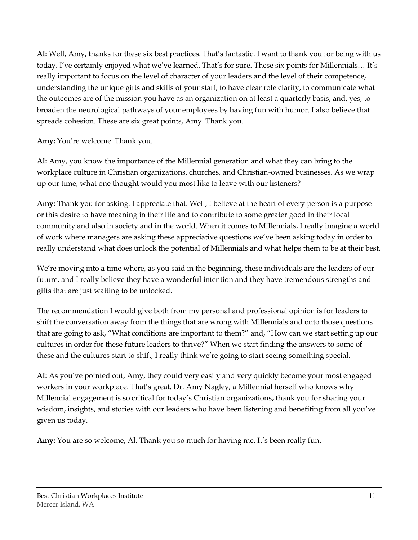**Al:** Well, Amy, thanks for these six best practices. That's fantastic. I want to thank you for being with us today. I've certainly enjoyed what we've learned. That's for sure. These six points for Millennials… It's really important to focus on the level of character of your leaders and the level of their competence, understanding the unique gifts and skills of your staff, to have clear role clarity, to communicate what the outcomes are of the mission you have as an organization on at least a quarterly basis, and, yes, to broaden the neurological pathways of your employees by having fun with humor. I also believe that spreads cohesion. These are six great points, Amy. Thank you.

**Amy:** You're welcome. Thank you.

**Al:** Amy, you know the importance of the Millennial generation and what they can bring to the workplace culture in Christian organizations, churches, and Christian-owned businesses. As we wrap up our time, what one thought would you most like to leave with our listeners?

**Amy:** Thank you for asking. I appreciate that. Well, I believe at the heart of every person is a purpose or this desire to have meaning in their life and to contribute to some greater good in their local community and also in society and in the world. When it comes to Millennials, I really imagine a world of work where managers are asking these appreciative questions we've been asking today in order to really understand what does unlock the potential of Millennials and what helps them to be at their best.

We're moving into a time where, as you said in the beginning, these individuals are the leaders of our future, and I really believe they have a wonderful intention and they have tremendous strengths and gifts that are just waiting to be unlocked.

The recommendation I would give both from my personal and professional opinion is for leaders to shift the conversation away from the things that are wrong with Millennials and onto those questions that are going to ask, "What conditions are important to them?" and, "How can we start setting up our cultures in order for these future leaders to thrive?" When we start finding the answers to some of these and the cultures start to shift, I really think we're going to start seeing something special.

**Al:** As you've pointed out, Amy, they could very easily and very quickly become your most engaged workers in your workplace. That's great. Dr. Amy Nagley, a Millennial herself who knows why Millennial engagement is so critical for today's Christian organizations, thank you for sharing your wisdom, insights, and stories with our leaders who have been listening and benefiting from all you've given us today.

**Amy:** You are so welcome, Al. Thank you so much for having me. It's been really fun.